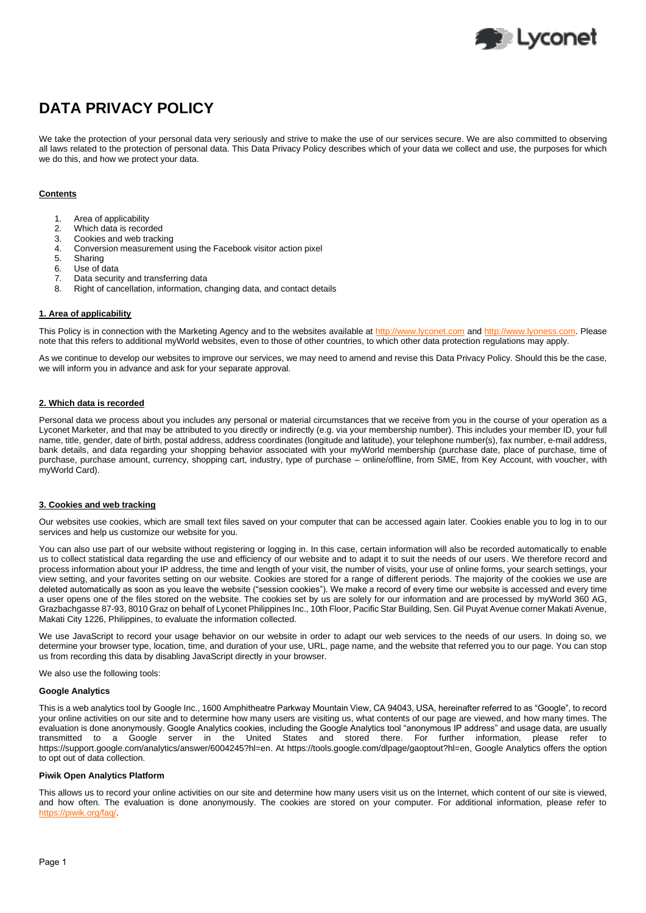

# **DATA PRIVACY POLICY**

We take the protection of your personal data very seriously and strive to make the use of our services secure. We are also committed to observing all laws related to the protection of personal data. This Data Privacy Policy describes which of your data we collect and use, the purposes for which we do this, and how we protect your data.

## **Contents**

- 1. Area of applicability
- 2. Which data is recorded
- 3. Cookies and web tracking
- 4. Conversion measurement using the Facebook visitor action pixel
- 5. Sharing
- Use of data
- 7. Data security and transferring data
- 8. Right of cancellation, information, changing data, and contact details

## **1. Area of applicability**

This Policy is in connection with the Marketing Agency and to the websites available at [http://www.lyconet.com](http://www.lyconet.com/) an[d http://www.lyoness.com.](http://www.lyoness.com/) Please note that this refers to additional myWorld websites, even to those of other countries, to which other data protection regulations may apply.

As we continue to develop our websites to improve our services, we may need to amend and revise this Data Privacy Policy. Should this be the case, we will inform you in advance and ask for your separate approval.

## **2. Which data is recorded**

Personal data we process about you includes any personal or material circumstances that we receive from you in the course of your operation as a Lyconet Marketer, and that may be attributed to you directly or indirectly (e.g. via your membership number). This includes your member ID, your full name, title, gender, date of birth, postal address, address coordinates (longitude and latitude), your telephone number(s), fax number, e-mail address, bank details, and data regarding your shopping behavior associated with your myWorld membership (purchase date, place of purchase, time of purchase, purchase amount, currency, shopping cart, industry, type of purchase – online/offline, from SME, from Key Account, with voucher, with myWorld Card).

#### **3. Cookies and web tracking**

Our websites use cookies, which are small text files saved on your computer that can be accessed again later. Cookies enable you to log in to our services and help us customize our website for you.

You can also use part of our website without registering or logging in. In this case, certain information will also be recorded automatically to enable us to collect statistical data regarding the use and efficiency of our website and to adapt it to suit the needs of our users. We therefore record and process information about your IP address, the time and length of your visit, the number of visits, your use of online forms, your search settings, your view setting, and your favorites setting on our website. Cookies are stored for a range of different periods. The majority of the cookies we use are deleted automatically as soon as you leave the website ("session cookies"). We make a record of every time our website is accessed and every time a user opens one of the files stored on the website. The cookies set by us are solely for our information and are processed by myWorld 360 AG, Grazbachgasse 87-93, 8010 Graz on behalf of Lyconet Philippines Inc., 10th Floor, Pacific Star Building, Sen. Gil Puyat Avenue corner Makati Avenue, Makati City 1226, Philippines, to evaluate the information collected.

We use JavaScript to record your usage behavior on our website in order to adapt our web services to the needs of our users. In doing so, we determine your browser type, location, time, and duration of your use, URL, page name, and the website that referred you to our page. You can stop us from recording this data by disabling JavaScript directly in your browser.

We also use the following tools:

#### **Google Analytics**

This is a web analytics tool by Google Inc., 1600 Amphitheatre Parkway Mountain View, CA 94043, USA, hereinafter referred to as "Google", to record your online activities on our site and to determine how many users are visiting us, what contents of our page are viewed, and how many times. The evaluation is done anonymously. Google Analytics cookies, including the Google Analytics tool "anonymous IP address" and usage data, are usually transmitted to a Google server in the United States and stored there. For further information, please refer to [https://support.google.com/analytics/answer/6004245?hl=en.](https://support.google.com/analytics/answer/6004245?hl=en) At [https://tools.google.com/dlpage/gaoptout?hl=en,](https://tools.google.com/dlpage/gaoptout?hl=en) Google Analytics offers the option to opt out of data collection.

# **Piwik Open Analytics Platform**

This allows us to record your online activities on our site and determine how many users visit us on the Internet, which content of our site is viewed, and how often. The evaluation is done anonymously. The cookies are stored on your computer. For additional information, please refer to ik.org/fag/.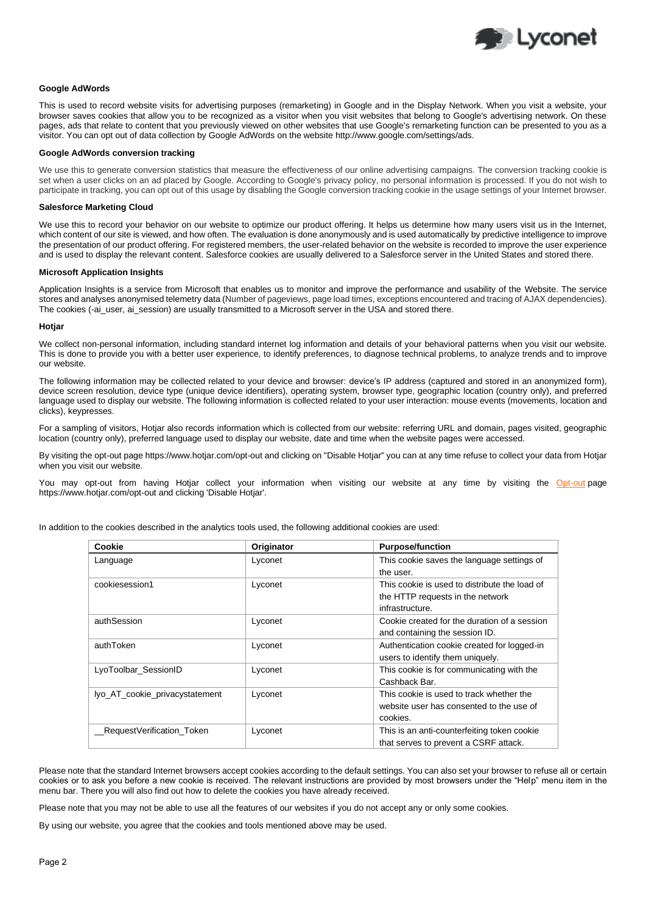

## **Google AdWords**

This is used to record website visits for advertising purposes (remarketing) in Google and in the Display Network. When you visit a website, your browser saves cookies that allow you to be recognized as a visitor when you visit websites that belong to Google's advertising network. On these pages, ads that relate to content that you previously viewed on other websites that use Google's remarketing function can be presented to you as a visitor. You can opt out of data collection by Google AdWords on the website http://www.google.com/settings/ads.

#### **Google AdWords conversion tracking**

We use this to generate conversion statistics that measure the effectiveness of our online advertising campaigns. The conversion tracking cookie is set when a user clicks on an ad placed by Google. According to Google's privacy policy, no personal information is processed. If you do not wish to participate in tracking, you can opt out of this usage by disabling the Google conversion tracking cookie in the usage settings of your Internet browser.

#### **Salesforce Marketing Cloud**

We use this to record your behavior on our website to optimize our product offering. It helps us determine how many users visit us in the Internet, which content of our site is viewed, and how often. The evaluation is done anonymously and is used automatically by predictive intelligence to improve the presentation of our product offering. For registered members, the user-related behavior on the website is recorded to improve the user experience and is used to display the relevant content. Salesforce cookies are usually delivered to a Salesforce server in the United States and stored there.

#### **Microsoft Application Insights**

Application Insights is a service from Microsoft that enables us to monitor and improve the performance and usability of the Website. The service stores and analyses anonymised telemetry data (Number of pageviews, page load times, exceptions encountered and tracing of AJAX dependencies). The cookies (-ai\_user, ai\_session) are usually transmitted to a Microsoft server in the USA and stored there.

#### **Hotjar**

We collect non-personal information, including standard internet log information and details of your behavioral patterns when you visit our website. This is done to provide you with a better user experience, to identify preferences, to diagnose technical problems, to analyze trends and to improve our website.

The following information may be collected related to your device and browser: device's IP address (captured and stored in an anonymized form), device screen resolution, device type (unique device identifiers), operating system, browser type, geographic location (country only), and preferred language used to display our website. The following information is collected related to your user interaction: mouse events (movements, location and clicks), keypresses.

For a sampling of visitors, Hotjar also records information which is collected from our website: referring URL and domain, pages visited, geographic location (country only), preferred language used to display our website, date and time when the website pages were accessed.

By visiting the opt-out page https://www.hotjar.com/opt-out and clicking on "Disable Hotjar" you can at any time refuse to collect your data from Hotjar when you visit our website.

You may opt-out from having Hotjar collect your information when visiting our website at any time by visiting the [Opt-out](https://www.hotjar.com/opt-out) page https://www.hotjar.com/opt-out and clicking 'Disable Hotjar'.

| Cookie                         | Originator | <b>Purpose/function</b>                                                                              |
|--------------------------------|------------|------------------------------------------------------------------------------------------------------|
| Language                       | Lyconet    | This cookie saves the language settings of<br>the user.                                              |
| cookiesession1                 | Lyconet    | This cookie is used to distribute the load of<br>the HTTP requests in the network<br>infrastructure. |
| authSession                    | Lyconet    | Cookie created for the duration of a session<br>and containing the session ID.                       |
| authToken                      | Lyconet    | Authentication cookie created for logged-in<br>users to identify them uniquely.                      |
| LyoToolbar_SessionID           | Lyconet    | This cookie is for communicating with the<br>Cashback Bar.                                           |
| lyo_AT_cookie_privacystatement | Lyconet    | This cookie is used to track whether the<br>website user has consented to the use of<br>cookies.     |
| RequestVerification Token      | Lyconet    | This is an anti-counterfeiting token cookie<br>that serves to prevent a CSRF attack.                 |

In addition to the cookies described in the analytics tools used, the following additional cookies are used:

Please note that the standard Internet browsers accept cookies according to the default settings. You can also set your browser to refuse all or certain cookies or to ask you before a new cookie is received. The relevant instructions are provided by most browsers under the "Help" menu item in the menu bar. There you will also find out how to delete the cookies you have already received.

Please note that you may not be able to use all the features of our websites if you do not accept any or only some cookies.

By using our website, you agree that the cookies and tools mentioned above may be used.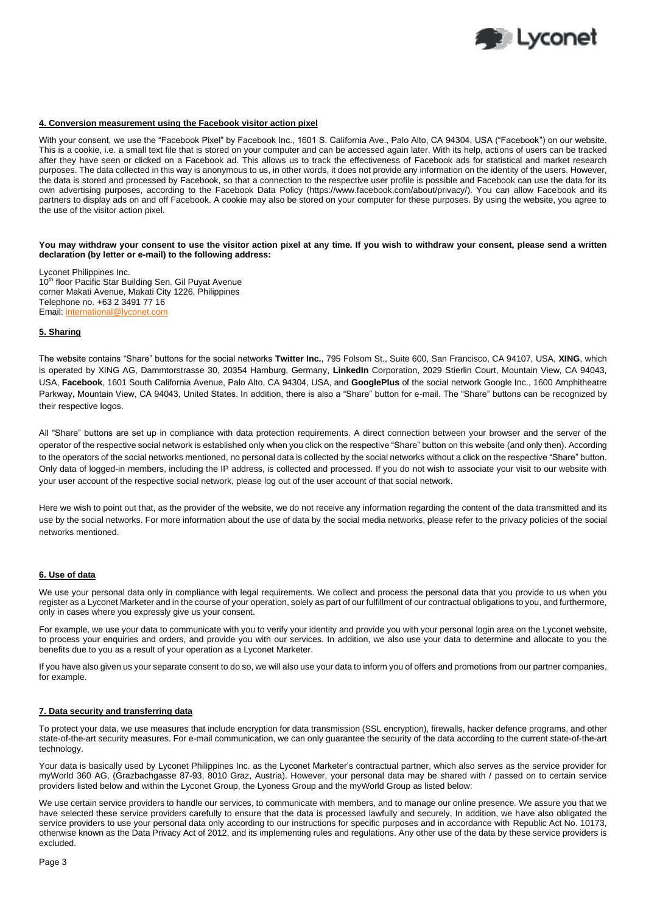

## **4. Conversion measurement using the Facebook visitor action pixel**

With your consent, we use the "Facebook Pixel" by Facebook Inc., 1601 S. California Ave., Palo Alto, CA 94304, USA ("Facebook") on our website. This is a cookie, i.e. a small text file that is stored on your computer and can be accessed again later. With its help, actions of users can be tracked after they have seen or clicked on a Facebook ad. This allows us to track the effectiveness of Facebook ads for statistical and market research purposes. The data collected in this way is anonymous to us, in other words, it does not provide any information on the identity of the users. However, the data is stored and processed by Facebook, so that a connection to the respective user profile is possible and Facebook can use the data for its own advertising purposes, according to the Facebook Data Policy (https://www.facebook.com/about/privacy/). You can allow Facebook and its partners to display ads on and off Facebook. A cookie may also be stored on your computer for these purposes. By using the website, you agree to the use of the visitor action pixel.

**You may withdraw your consent to use the visitor action pixel at any time. If you wish to withdraw your consent, please send a written declaration (by letter or e-mail) to the following address:**

Lyconet Philippines Inc. 10<sup>th</sup> floor Pacific Star Building Sen. Gil Puyat Avenue corner Makati Avenue, Makati City 1226, Philippines Telephone no. +63 2 3491 77 16 Email[: international@lyconet.com](mailto:international@lyconet.com)

## **5. Sharing**

The website contains "Share" buttons for the social networks **Twitter Inc.**, 795 Folsom St., Suite 600, San Francisco, CA 94107, USA, **XING**, which is operated by XING AG, Dammtorstrasse 30, 20354 Hamburg, Germany, **LinkedIn** Corporation, 2029 Stierlin Court, Mountain View, CA 94043, USA, **Facebook**, 1601 South California Avenue, Palo Alto, CA 94304, USA, and **GooglePlus** of the social network Google Inc., 1600 Amphitheatre Parkway, Mountain View, CA 94043, United States. In addition, there is also a "Share" button for e-mail. The "Share" buttons can be recognized by their respective logos.

All "Share" buttons are set up in compliance with data protection requirements. A direct connection between your browser and the server of the operator of the respective social network is established only when you click on the respective "Share" button on this website (and only then). According to the operators of the social networks mentioned, no personal data is collected by the social networks without a click on the respective "Share" button. Only data of logged-in members, including the IP address, is collected and processed. If you do not wish to associate your visit to our website with your user account of the respective social network, please log out of the user account of that social network.

Here we wish to point out that, as the provider of the website, we do not receive any information regarding the content of the data transmitted and its use by the social networks. For more information about the use of data by the social media networks, please refer to the privacy policies of the social networks mentioned.

## **6. Use of data**

We use your personal data only in compliance with legal requirements. We collect and process the personal data that you provide to us when you register as a Lyconet Marketer and in the course of your operation, solely as part of our fulfillment of our contractual obligations to you, and furthermore, only in cases where you expressly give us your consent.

For example, we use your data to communicate with you to verify your identity and provide you with your personal login area on the Lyconet website, to process your enquiries and orders, and provide you with our services. In addition, we also use your data to determine and allocate to you the benefits due to you as a result of your operation as a Lyconet Marketer.

If you have also given us your separate consent to do so, we will also use your data to inform you of offers and promotions from our partner companies, for example.

## **7. Data security and transferring data**

To protect your data, we use measures that include encryption for data transmission (SSL encryption), firewalls, hacker defence programs, and other state-of-the-art security measures. For e-mail communication, we can only guarantee the security of the data according to the current state-of-the-art technology.

Your data is basically used by Lyconet Philippines Inc. as the Lyconet Marketer's contractual partner, which also serves as the service provider for myWorld 360 AG, (Grazbachgasse 87-93, 8010 Graz, Austria). However, your personal data may be shared with / passed on to certain service providers listed below and within the Lyconet Group, the Lyoness Group and the myWorld Group as listed below:

We use certain service providers to handle our services, to communicate with members, and to manage our online presence. We assure you that we have selected these service providers carefully to ensure that the data is processed lawfully and securely. In addition, we have also obligated the service providers to use your personal data only according to our instructions for specific purposes and in accordance with Republic Act No. 10173, otherwise known as the Data Privacy Act of 2012, and its implementing rules and regulations. Any other use of the data by these service providers is excluded.